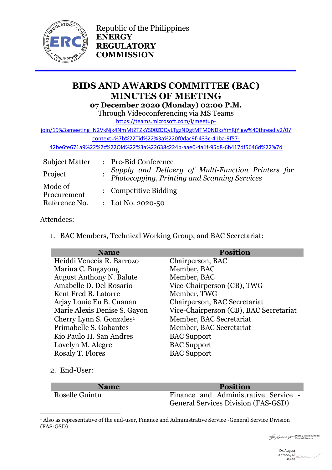

Republic of the Philippines **ENERGY REGULATORY COMMISSION**

# **BIDS AND AWARDS COMMITTEE (BAC) MINUTES OF MEETING 07 December 2020 (Monday) 02:00 P.M.**

Through Videoconferencing via MS Teams

[https://teams.microsoft.com/l/meetup-](https://teams.microsoft.com/l/meetup-join/19%3ameeting_N2VkNjk4NmMtZTZkYS00ZDQyLTgzNDgtMTM0NDkzYmRjYjgw%40thread.v2/0?context=%7b%22Tid%22%3a%220f0dac9f-433c-41ba-9f57-42be6fe671a9%22%2c%22Oid%22%3a%22638c224b-aae0-4a1f-95d8-6b417df5646d%22%7d)

[join/19%3ameeting\\_N2VkNjk4NmMtZTZkYS00ZDQyLTgzNDgtMTM0NDkzYmRjYjgw%40thread.v2/0?](https://teams.microsoft.com/l/meetup-join/19%3ameeting_N2VkNjk4NmMtZTZkYS00ZDQyLTgzNDgtMTM0NDkzYmRjYjgw%40thread.v2/0?context=%7b%22Tid%22%3a%220f0dac9f-433c-41ba-9f57-42be6fe671a9%22%2c%22Oid%22%3a%22638c224b-aae0-4a1f-95d8-6b417df5646d%22%7d)

[context=%7b%22Tid%22%3a%220f0dac9f-433c-41ba-9f57-](https://teams.microsoft.com/l/meetup-join/19%3ameeting_N2VkNjk4NmMtZTZkYS00ZDQyLTgzNDgtMTM0NDkzYmRjYjgw%40thread.v2/0?context=%7b%22Tid%22%3a%220f0dac9f-433c-41ba-9f57-42be6fe671a9%22%2c%22Oid%22%3a%22638c224b-aae0-4a1f-95d8-6b417df5646d%22%7d)

[42be6fe671a9%22%2c%22Oid%22%3a%22638c224b-aae0-4a1f-95d8-6b417df5646d%22%7d](https://teams.microsoft.com/l/meetup-join/19%3ameeting_N2VkNjk4NmMtZTZkYS00ZDQyLTgzNDgtMTM0NDkzYmRjYjgw%40thread.v2/0?context=%7b%22Tid%22%3a%220f0dac9f-433c-41ba-9f57-42be6fe671a9%22%2c%22Oid%22%3a%22638c224b-aae0-4a1f-95d8-6b417df5646d%22%7d)

| <b>Subject Matter</b>  | : Pre-Bid Conference                                                                               |  |
|------------------------|----------------------------------------------------------------------------------------------------|--|
| Project                | Supply and Delivery of Multi-Function Printers for<br>Photocopying, Printing and Scanning Services |  |
| Mode of<br>Procurement | : Competitive Bidding                                                                              |  |
| Reference No.          | : Lot No. 2020-50                                                                                  |  |

### Attendees:

1. BAC Members, Technical Working Group, and BAC Secretariat:

| <b>Name</b>                          | <b>Position</b>                        |
|--------------------------------------|----------------------------------------|
| Heiddi Venecia R. Barrozo            | Chairperson, BAC                       |
| Marina C. Bugayong                   | Member, BAC                            |
| <b>August Anthony N. Balute</b>      | Member, BAC                            |
| Amabelle D. Del Rosario              | Vice-Chairperson (CB), TWG             |
| Kent Fred B. Latorre                 | Member, TWG                            |
| Arjay Louie Eu B. Cuanan             | Chairperson, BAC Secretariat           |
| Marie Alexis Denise S. Gayon         | Vice-Chairperson (CB), BAC Secretariat |
| Cherry Lynn S. Gonzales <sup>1</sup> | Member, BAC Secretariat                |
| Primabelle S. Gobantes               | Member, BAC Secretariat                |
| Kio Paulo H. San Andres              | <b>BAC</b> Support                     |
| Lovelyn M. Alegre                    | <b>BAC Support</b>                     |
| Rosaly T. Flores                     | <b>BAC</b> Support                     |

2. End-User:

**.** 

| <b>Name</b>    | <b>Position</b>                            |
|----------------|--------------------------------------------|
| Roselle Guintu | Finance and Administrative Service -       |
|                | <b>General Services Division (FAS-GSD)</b> |

<sup>&</sup>lt;sup>1</sup> Also as representative of the end-user, Finance and Administrative Service -General Service Division (FAS-GSD)

Digitally signed by Heiddi Venecia R. Barrozo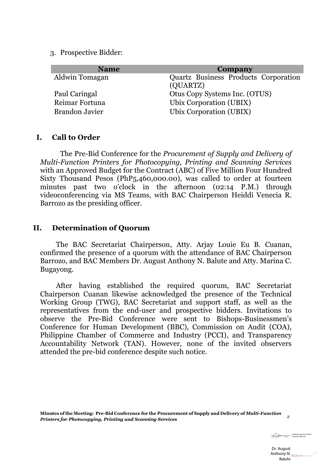3. Prospective Bidder:

| <b>Name</b>           | Company                                          |
|-----------------------|--------------------------------------------------|
| Aldwin Tomagan        | Quartz Business Products Corporation<br>(QUARTZ) |
| Paul Caringal         | Otus Copy Systems Inc. (OTUS)                    |
| Reimar Fortuna        | Ubix Corporation (UBIX)                          |
| <b>Brandon Javier</b> | Ubix Corporation (UBIX)                          |

#### **I. Call to Order**

The Pre-Bid Conference for the *Procurement of Supply and Delivery of Multi-Function Printers for Photocopying, Printing and Scanning Services* with an Approved Budget for the Contract (ABC) of Five Million Four Hundred Sixty Thousand Pesos (PhP5,460,000.00), was called to order at fourteen minutes past two o'clock in the afternoon (02:14 P.M.) through videoconferencing via MS Teams, with BAC Chairperson Heiddi Venecia R. Barrozo as the presiding officer.

#### **II. Determination of Quorum**

The BAC Secretariat Chairperson, Atty. Arjay Louie Eu B. Cuanan, confirmed the presence of a quorum with the attendance of BAC Chairperson Barrozo, and BAC Members Dr. August Anthony N. Balute and Atty. Marina C. Bugayong.

After having established the required quorum, BAC Secretariat Chairperson Cuanan likewise acknowledged the presence of the Technical Working Group (TWG), BAC Secretariat and support staff, as well as the representatives from the end-user and prospective bidders. Invitations to observe the Pre-Bid Conference were sent to Bishops-Businessmen's Conference for Human Development (BBC), Commission on Audit (COA), Philippine Chamber of Commerce and Industry (PCCI), and Transparency Accountability Network (TAN). However, none of the invited observers attended the pre-bid conference despite such notice.

Digitally signed by Heiddi Venecia R. Barrozo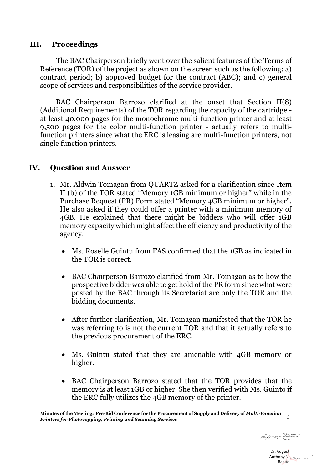### **III. Proceedings**

The BAC Chairperson briefly went over the salient features of the Terms of Reference (TOR) of the project as shown on the screen such as the following: a) contract period; b) approved budget for the contract (ABC); and c) general scope of services and responsibilities of the service provider.

BAC Chairperson Barrozo clarified at the onset that Section II(8) (Additional Requirements) of the TOR regarding the capacity of the cartridge at least 40,000 pages for the monochrome multi-function printer and at least 9,500 pages for the color multi-function printer - actually refers to multifunction printers since what the ERC is leasing are multi-function printers, not single function printers.

## **IV. Question and Answer**

- 1. Mr. Aldwin Tomagan from QUARTZ asked for a clarification since Item II (b) of the TOR stated "Memory 1GB minimum or higher" while in the Purchase Request (PR) Form stated "Memory 4GB minimum or higher". He also asked if they could offer a printer with a minimum memory of 4GB. He explained that there might be bidders who will offer 1GB memory capacity which might affect the efficiency and productivity of the agency.
	- Ms. Roselle Guintu from FAS confirmed that the 1GB as indicated in the TOR is correct.
	- BAC Chairperson Barrozo clarified from Mr. Tomagan as to how the prospective bidder was able to get hold of the PR form since what were posted by the BAC through its Secretariat are only the TOR and the bidding documents.
	- After further clarification, Mr. Tomagan manifested that the TOR he was referring to is not the current TOR and that it actually refers to the previous procurement of the ERC.
	- Ms. Guintu stated that they are amenable with 4GB memory or higher.
	- BAC Chairperson Barrozo stated that the TOR provides that the memory is at least 1GB or higher. She then verified with Ms. Guinto if the ERC fully utilizes the 4GB memory of the printer.

**Minutes of the Meeting: Pre-Bid Conference for the Procurement of Supply and Delivery of** *Multi-Function Printers for Photocopying, Printing and Scanning Services <sup>3</sup>*

Digitally signed by Heiddi Venecia R. Barrozo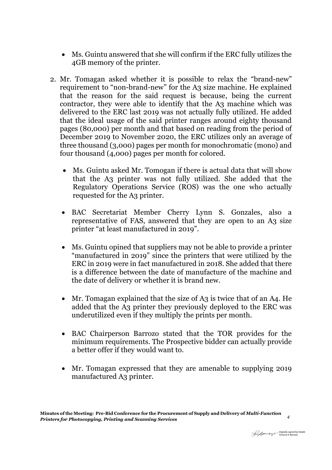- Ms. Guintu answered that she will confirm if the ERC fully utilizes the 4GB memory of the printer.
- 2. Mr. Tomagan asked whether it is possible to relax the "brand-new" requirement to "non-brand-new" for the A3 size machine. He explained that the reason for the said request is because, being the current contractor, they were able to identify that the A3 machine which was delivered to the ERC last 2019 was not actually fully utilized. He added that the ideal usage of the said printer ranges around eighty thousand pages (80,000) per month and that based on reading from the period of December 2019 to November 2020, the ERC utilizes only an average of three thousand (3,000) pages per month for monochromatic (mono) and four thousand (4,000) pages per month for colored.
	- Ms. Guintu asked Mr. Tomogan if there is actual data that will show that the A3 printer was not fully utilized. She added that the Regulatory Operations Service (ROS) was the one who actually requested for the A3 printer.
	- BAC Secretariat Member Cherry Lynn S. Gonzales, also a representative of FAS, answered that they are open to an A3 size printer "at least manufactured in 2019".
	- Ms. Guintu opined that suppliers may not be able to provide a printer "manufactured in 2019" since the printers that were utilized by the ERC in 2019 were in fact manufactured in 2018. She added that there is a difference between the date of manufacture of the machine and the date of delivery or whether it is brand new.
	- Mr. Tomagan explained that the size of A3 is twice that of an A4. He added that the A3 printer they previously deployed to the ERC was underutilized even if they multiply the prints per month.
	- BAC Chairperson Barrozo stated that the TOR provides for the minimum requirements. The Prospective bidder can actually provide a better offer if they would want to.
	- Mr. Tomagan expressed that they are amenable to supplying 2019 manufactured A3 printer.

Digitally signed by Heiddi Venecia R. Barrozo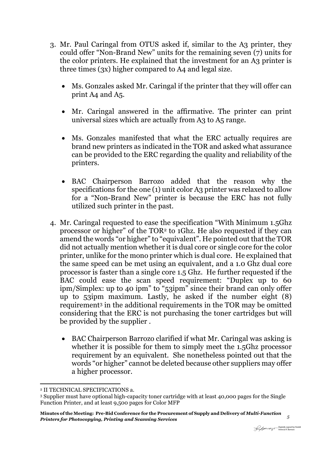- 3. Mr. Paul Caringal from OTUS asked if, similar to the A3 printer, they could offer "Non-Brand New" units for the remaining seven (7) units for the color printers. He explained that the investment for an A3 printer is three times (3x) higher compared to A4 and legal size.
	- Ms. Gonzales asked Mr. Caringal if the printer that they will offer can print A4 and A5.
	- Mr. Caringal answered in the affirmative. The printer can print universal sizes which are actually from A3 to A5 range.
	- Ms. Gonzales manifested that what the ERC actually requires are brand new printers as indicated in the TOR and asked what assurance can be provided to the ERC regarding the quality and reliability of the printers.
	- BAC Chairperson Barrozo added that the reason why the specifications for the one (1) unit color A3 printer was relaxed to allow for a "Non-Brand New" printer is because the ERC has not fully utilized such printer in the past.
- 4. Mr. Caringal requested to ease the specification "With Minimum 1.5Ghz processor or higher" of the TOR<sup>2</sup> to 1Ghz. He also requested if they can amend the words "or higher" to "equivalent". He pointed out that the TOR did not actually mention whether it is dual core or single core for the color printer, unlike for the mono printer which is dual core. He explained that the same speed can be met using an equivalent, and a 1.0 Ghz dual core processor is faster than a single core 1.5 Ghz. He further requested if the BAC could ease the scan speed requirement: "Duplex up to 60 ipm/Simplex: up to 40 ipm" to "53ipm" since their brand can only offer up to 53ipm maximum. Lastly, he asked if the number eight (8) requirement<sup>3</sup> in the additional requirements in the TOR may be omitted considering that the ERC is not purchasing the toner cartridges but will be provided by the supplier .
	- BAC Chairperson Barrozo clarified if what Mr. Caringal was asking is whether it is possible for them to simply meet the 1.5Ghz processor requirement by an equivalent. She nonetheless pointed out that the words "or higher" cannot be deleted because other suppliers may offer a higher processor.

1

<sup>2</sup> II TECHNICAL SPECIFICATIONS a.

<sup>3</sup> Supplier must have optional high-capacity toner cartridge with at least 40,000 pages for the Single Function Printer, and at least 9,500 pages for Color MFP

**Minutes of the Meeting: Pre-Bid Conference for the Procurement of Supply and Delivery of** *Multi-Function Printers for Photocopying, Printing and Scanning Services <sup>5</sup>*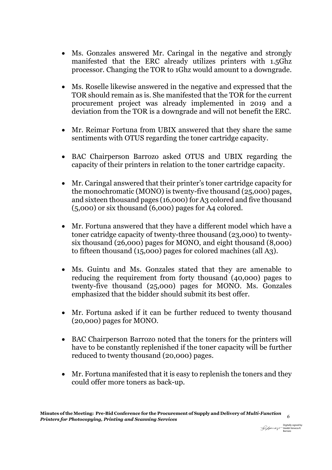- Ms. Gonzales answered Mr. Caringal in the negative and strongly manifested that the ERC already utilizes printers with 1.5Ghz processor. Changing the TOR to 1Ghz would amount to a downgrade.
- Ms. Roselle likewise answered in the negative and expressed that the TOR should remain as is. She manifested that the TOR for the current procurement project was already implemented in 2019 and a deviation from the TOR is a downgrade and will not benefit the ERC.
- Mr. Reimar Fortuna from UBIX answered that they share the same sentiments with OTUS regarding the toner cartridge capacity.
- BAC Chairperson Barrozo asked OTUS and UBIX regarding the capacity of their printers in relation to the toner cartridge capacity.
- Mr. Caringal answered that their printer's toner cartridge capacity for the monochromatic (MONO) is twenty-five thousand (25,000) pages, and sixteen thousand pages (16,000) for A3 colored and five thousand (5,000) or six thousand (6,000) pages for A4 colored.
- Mr. Fortuna answered that they have a different model which have a toner catridge capacity of twenty-three thousand (23,000) to twentysix thousand (26,000) pages for MONO, and eight thousand (8,000) to fifteen thousand (15,000) pages for colored machines (all A3).
- Ms. Guintu and Ms. Gonzales stated that they are amenable to reducing the requirement from forty thousand (40,000) pages to twenty-five thousand (25,000) pages for MONO. Ms. Gonzales emphasized that the bidder should submit its best offer.
- Mr. Fortuna asked if it can be further reduced to twenty thousand (20,000) pages for MONO.
- BAC Chairperson Barrozo noted that the toners for the printers will have to be constantly replenished if the toner capacity will be further reduced to twenty thousand (20,000) pages.
- Mr. Fortuna manifested that it is easy to replenish the toners and they could offer more toners as back-up.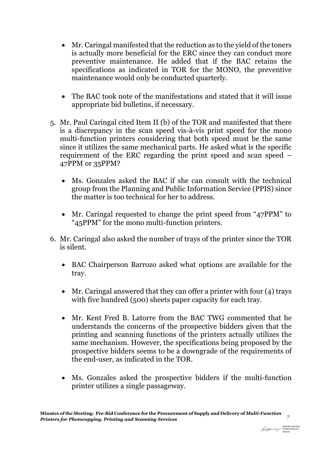- Mr. Caringal manifested that the reduction as to the yield of the toners is actually more beneficial for the ERC since they can conduct more preventive maintenance. He added that if the BAC retains the specifications as indicated in TOR for the MONO, the preventive maintenance would only be conducted quarterly.
- The BAC took note of the manifestations and stated that it will issue appropriate bid bulletins, if necessary.
- 5. Mr. Paul Caringal cited Item II (b) of the TOR and manifested that there is a discrepancy in the scan speed vis-à-vis print speed for the mono multi-function printers considering that both speed must be the same since it utilizes the same mechanical parts. He asked what is the specific requirement of the ERC regarding the print speed and scan speed – 47PPM or 35PPM?
	- Ms. Gonzales asked the BAC if she can consult with the technical group from the Planning and Public Information Service (PPIS) since the matter is too technical for her to address.
	- Mr. Caringal requested to change the print speed from "47PPM" to "45PPM" for the mono multi-function printers.
- 6. Mr. Caringal also asked the number of trays of the printer since the TOR is silent.
	- BAC Chairperson Barrozo asked what options are available for the tray.
	- Mr. Caringal answered that they can offer a printer with four  $(4)$  trays with five hundred (500) sheets paper capacity for each tray.
	- Mr. Kent Fred B. Latorre from the BAC TWG commented that he understands the concerns of the prospective bidders given that the printing and scanning functions of the printers actually utilizes the same mechanism. However, the specifications being proposed by the prospective bidders seems to be a downgrade of the requirements of the end-user, as indicated in the TOR.
	- Ms. Gonzales asked the prospective bidders if the multi-function printer utilizes a single passageway.

Digitally signed by Heiddi Venecia R. Barrozo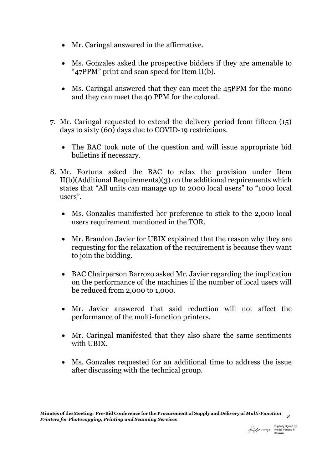- Mr. Caringal answered in the affirmative.
- Ms. Gonzales asked the prospective bidders if they are amenable to "47PPM" print and scan speed for Item II(b).
- Ms. Caringal answered that they can meet the 45PPM for the mono and they can meet the 40 PPM for the colored.
- 7. Mr. Caringal requested to extend the delivery period from fifteen (15) days to sixty (60) days due to COVID-19 restrictions.
	- The BAC took note of the question and will issue appropriate bid bulletins if necessary.
- 8. Mr. Fortuna asked the BAC to relax the provision under Item II(b)(Additional Requirements)(3) on the additional requirements which states that "All units can manage up to 2000 local users" to "1000 local users".
	- Ms. Gonzales manifested her preference to stick to the 2,000 local users requirement mentioned in the TOR.
	- Mr. Brandon Javier for UBIX explained that the reason why they are requesting for the relaxation of the requirement is because they want to join the bidding.
	- BAC Chairperson Barrozo asked Mr. Javier regarding the implication on the performance of the machines if the number of local users will be reduced from 2,000 to 1,000.
	- Mr. Javier answered that said reduction will not affect the performance of the multi-function printers.
	- Mr. Caringal manifested that they also share the same sentiments with UBIX.
	- Ms. Gonzales requested for an additional time to address the issue after discussing with the technical group.

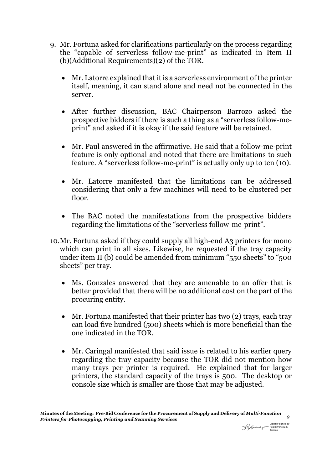- 9. Mr. Fortuna asked for clarifications particularly on the process regarding the "capable of serverless follow-me-print" as indicated in Item II (b)(Additional Requirements)(2) of the TOR.
	- Mr. Latorre explained that it is a serverless environment of the printer itself, meaning, it can stand alone and need not be connected in the server.
	- After further discussion, BAC Chairperson Barrozo asked the prospective bidders if there is such a thing as a "serverless follow-meprint" and asked if it is okay if the said feature will be retained.
	- Mr. Paul answered in the affirmative. He said that a follow-me-print feature is only optional and noted that there are limitations to such feature. A "serverless follow-me-print" is actually only up to ten (10).
	- Mr. Latorre manifested that the limitations can be addressed considering that only a few machines will need to be clustered per floor.
	- The BAC noted the manifestations from the prospective bidders regarding the limitations of the "serverless follow-me-print".
- 10.Mr. Fortuna asked if they could supply all high-end A3 printers for mono which can print in all sizes. Likewise, he requested if the tray capacity under item II (b) could be amended from minimum "550 sheets" to "500 sheets" per tray.
	- Ms. Gonzales answered that they are amenable to an offer that is better provided that there will be no additional cost on the part of the procuring entity.
	- Mr. Fortuna manifested that their printer has two (2) trays, each tray can load five hundred (500) sheets which is more beneficial than the one indicated in the TOR.
	- Mr. Caringal manifested that said issue is related to his earlier query regarding the tray capacity because the TOR did not mention how many trays per printer is required. He explained that for larger printers, the standard capacity of the trays is 500. The desktop or console size which is smaller are those that may be adjusted.

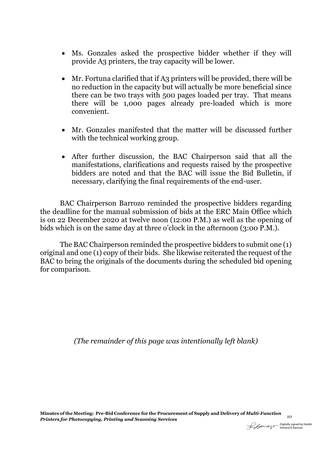- Ms. Gonzales asked the prospective bidder whether if they will provide A3 printers, the tray capacity will be lower.
- Mr. Fortuna clarified that if A3 printers will be provided, there will be no reduction in the capacity but will actually be more beneficial since there can be two trays with 500 pages loaded per tray. That means there will be 1,000 pages already pre-loaded which is more convenient.
- Mr. Gonzales manifested that the matter will be discussed further with the technical working group.
- After further discussion, the BAC Chairperson said that all the manifestations, clarifications and requests raised by the prospective bidders are noted and that the BAC will issue the Bid Bulletin, if necessary, clarifying the final requirements of the end-user.

BAC Chairperson Barrozo reminded the prospective bidders regarding the deadline for the manual submission of bids at the ERC Main Office which is on 22 December 2020 at twelve noon (12:00 P.M.) as well as the opening of bids which is on the same day at three o'clock in the afternoon (3:00 P.M.).

The BAC Chairperson reminded the prospective bidders to submit one (1) original and one (1) copy of their bids. She likewise reiterated the request of the BAC to bring the originals of the documents during the scheduled bid opening for comparison.

*(The remainder of this page was intentionally left blank)*

**Minutes of the Meeting: Pre-Bid Conference for the Procurement of Supply and Delivery of** *Multi-Function Printers for Photocopying, Printing and Scanning Services <sup>10</sup>*

Digitally signed by Heiddi Venecia R. Barrozo